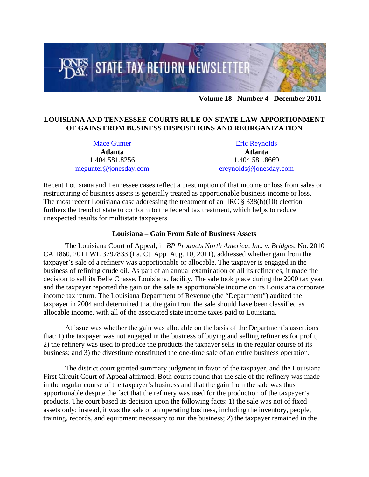

**Volume 18 Number 4 December 2011**

## **LOUISIANA AND TENNESSEE COURTS RULE ON STATE LAW APPORTIONMENT OF GAINS FROM BUSINESS DISPOSITIONS AND REORGANIZATION**

[Mace Gunter](http://www.jonesday.com/megunter/) **Atlanta**  1.404.581.8256 [megunter@jonesday.com](mailto:megunter@jonesday.com) 

[Eric Reynolds](http://www.jonesday.com/ereynolds/) **Atlanta**  1.404.581.8669 [ereynolds@jonesday.com](mailto:ereynolds@jonesday.com) 

Recent Louisiana and Tennessee cases reflect a presumption of that income or loss from sales or restructuring of business assets is generally treated as apportionable business income or loss. The most recent Louisiana case addressing the treatment of an IRC  $\S 338(h)(10)$  election furthers the trend of state to conform to the federal tax treatment, which helps to reduce unexpected results for multistate taxpayers.

## **Louisiana – Gain From Sale of Business Assets**

The Louisiana Court of Appeal, in *BP Products North America, Inc. v. Bridges*, No. 2010 CA 1860, 2011 WL 3792833 (La. Ct. App. Aug. 10, 2011), addressed whether gain from the taxpayer's sale of a refinery was apportionable or allocable. The taxpayer is engaged in the business of refining crude oil. As part of an annual examination of all its refineries, it made the decision to sell its Belle Chasse, Louisiana, facility. The sale took place during the 2000 tax year, and the taxpayer reported the gain on the sale as apportionable income on its Louisiana corporate income tax return. The Louisiana Department of Revenue (the "Department") audited the taxpayer in 2004 and determined that the gain from the sale should have been classified as allocable income, with all of the associated state income taxes paid to Louisiana.

At issue was whether the gain was allocable on the basis of the Department's assertions that: 1) the taxpayer was not engaged in the business of buying and selling refineries for profit; 2) the refinery was used to produce the products the taxpayer sells in the regular course of its business; and 3) the divestiture constituted the one-time sale of an entire business operation.

The district court granted summary judgment in favor of the taxpayer, and the Louisiana First Circuit Court of Appeal affirmed. Both courts found that the sale of the refinery was made in the regular course of the taxpayer's business and that the gain from the sale was thus apportionable despite the fact that the refinery was used for the production of the taxpayer's products. The court based its decision upon the following facts: 1) the sale was not of fixed assets only; instead, it was the sale of an operating business, including the inventory, people, training, records, and equipment necessary to run the business; 2) the taxpayer remained in the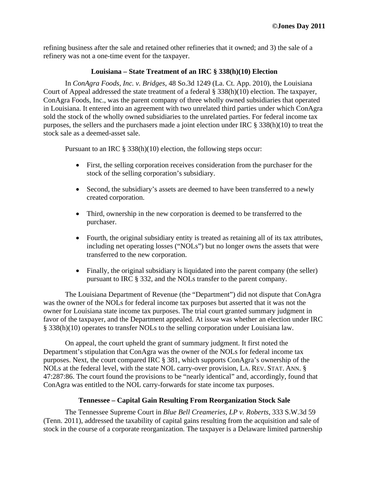refining business after the sale and retained other refineries that it owned; and 3) the sale of a refinery was not a one-time event for the taxpayer.

## **Louisiana – State Treatment of an IRC § 338(h)(10) Election**

In *ConAgra Foods, Inc. v. Bridges*, 48 So.3d 1249 (La. Ct. App. 2010), the Louisiana Court of Appeal addressed the state treatment of a federal § 338(h)(10) election. The taxpayer, ConAgra Foods, Inc., was the parent company of three wholly owned subsidiaries that operated in Louisiana. It entered into an agreement with two unrelated third parties under which ConAgra sold the stock of the wholly owned subsidiaries to the unrelated parties. For federal income tax purposes, the sellers and the purchasers made a joint election under IRC § 338(h)(10) to treat the stock sale as a deemed-asset sale.

Pursuant to an IRC § 338(h)(10) election, the following steps occur:

- First, the selling corporation receives consideration from the purchaser for the stock of the selling corporation's subsidiary.
- Second, the subsidiary's assets are deemed to have been transferred to a newly created corporation.
- Third, ownership in the new corporation is deemed to be transferred to the purchaser.
- Fourth, the original subsidiary entity is treated as retaining all of its tax attributes, including net operating losses ("NOLs") but no longer owns the assets that were transferred to the new corporation.
- Finally, the original subsidiary is liquidated into the parent company (the seller) pursuant to IRC § 332, and the NOLs transfer to the parent company.

The Louisiana Department of Revenue (the "Department") did not dispute that ConAgra was the owner of the NOLs for federal income tax purposes but asserted that it was not the owner for Louisiana state income tax purposes. The trial court granted summary judgment in favor of the taxpayer, and the Department appealed. At issue was whether an election under IRC § 338(h)(10) operates to transfer NOLs to the selling corporation under Louisiana law.

On appeal, the court upheld the grant of summary judgment. It first noted the Department's stipulation that ConAgra was the owner of the NOLs for federal income tax purposes. Next, the court compared IRC § 381, which supports ConAgra's ownership of the NOLs at the federal level, with the state NOL carry-over provision, LA. REV. STAT. ANN. § 47:287:86. The court found the provisions to be "nearly identical" and, accordingly, found that ConAgra was entitled to the NOL carry-forwards for state income tax purposes.

## **Tennessee – Capital Gain Resulting From Reorganization Stock Sale**

The Tennessee Supreme Court in *Blue Bell Creameries, LP v. Roberts*, 333 S.W.3d 59 (Tenn. 2011), addressed the taxability of capital gains resulting from the acquisition and sale of stock in the course of a corporate reorganization. The taxpayer is a Delaware limited partnership